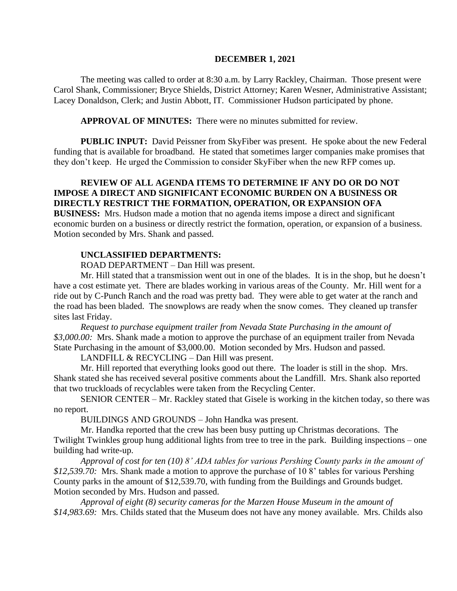#### **DECEMBER 1, 2021**

The meeting was called to order at 8:30 a.m. by Larry Rackley, Chairman. Those present were Carol Shank, Commissioner; Bryce Shields, District Attorney; Karen Wesner, Administrative Assistant; Lacey Donaldson, Clerk; and Justin Abbott, IT. Commissioner Hudson participated by phone.

**APPROVAL OF MINUTES:** There were no minutes submitted for review.

 **PUBLIC INPUT:** David Peissner from SkyFiber was present. He spoke about the new Federal funding that is available for broadband. He stated that sometimes larger companies make promises that they don't keep. He urged the Commission to consider SkyFiber when the new RFP comes up.

# **REVIEW OF ALL AGENDA ITEMS TO DETERMINE IF ANY DO OR DO NOT IMPOSE A DIRECT AND SIGNIFICANT ECONOMIC BURDEN ON A BUSINESS OR DIRECTLY RESTRICT THE FORMATION, OPERATION, OR EXPANSION OFA**

**BUSINESS:** Mrs. Hudson made a motion that no agenda items impose a direct and significant economic burden on a business or directly restrict the formation, operation, or expansion of a business. Motion seconded by Mrs. Shank and passed.

### **UNCLASSIFIED DEPARTMENTS:**

ROAD DEPARTMENT – Dan Hill was present.

Mr. Hill stated that a transmission went out in one of the blades. It is in the shop, but he doesn't have a cost estimate yet. There are blades working in various areas of the County. Mr. Hill went for a ride out by C-Punch Ranch and the road was pretty bad. They were able to get water at the ranch and the road has been bladed. The snowplows are ready when the snow comes. They cleaned up transfer sites last Friday.

*Request to purchase equipment trailer from Nevada State Purchasing in the amount of \$3,000.00:* Mrs. Shank made a motion to approve the purchase of an equipment trailer from Nevada State Purchasing in the amount of \$3,000.00. Motion seconded by Mrs. Hudson and passed.

LANDFILL & RECYCLING – Dan Hill was present.

Mr. Hill reported that everything looks good out there. The loader is still in the shop. Mrs. Shank stated she has received several positive comments about the Landfill. Mrs. Shank also reported that two truckloads of recyclables were taken from the Recycling Center.

 SENIOR CENTER – Mr. Rackley stated that Gisele is working in the kitchen today, so there was no report.

BUILDINGS AND GROUNDS – John Handka was present.

Mr. Handka reported that the crew has been busy putting up Christmas decorations. The Twilight Twinkles group hung additional lights from tree to tree in the park. Building inspections – one building had write-up.

*Approval of cost for ten (10) 8' ADA tables for various Pershing County parks in the amount of \$12,539.70:* Mrs. Shank made a motion to approve the purchase of 10 8' tables for various Pershing County parks in the amount of \$12,539.70, with funding from the Buildings and Grounds budget. Motion seconded by Mrs. Hudson and passed.

*Approval of eight (8) security cameras for the Marzen House Museum in the amount of \$14,983.69:* Mrs. Childs stated that the Museum does not have any money available. Mrs. Childs also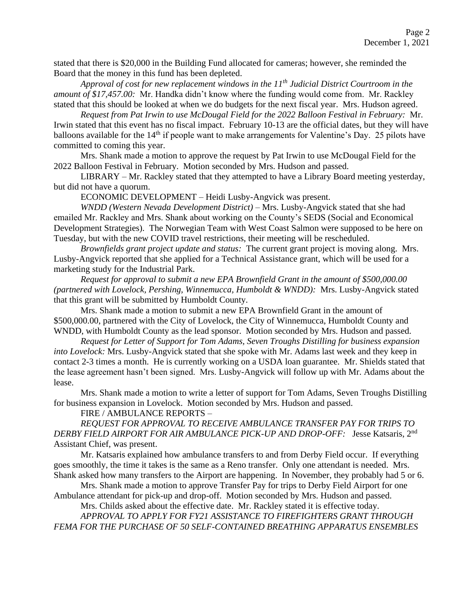stated that there is \$20,000 in the Building Fund allocated for cameras; however, she reminded the Board that the money in this fund has been depleted.

*Approval of cost for new replacement windows in the 11th Judicial District Courtroom in the amount of \$17,457.00:* Mr. Handka didn't know where the funding would come from. Mr. Rackley stated that this should be looked at when we do budgets for the next fiscal year. Mrs. Hudson agreed.

*Request from Pat Irwin to use McDougal Field for the 2022 Balloon Festival in February:* Mr. Irwin stated that this event has no fiscal impact. February 10-13 are the official dates, but they will have balloons available for the 14<sup>th</sup> if people want to make arrangements for Valentine's Day. 25 pilots have committed to coming this year.

Mrs. Shank made a motion to approve the request by Pat Irwin to use McDougal Field for the 2022 Balloon Festival in February. Motion seconded by Mrs. Hudson and passed.

LIBRARY – Mr. Rackley stated that they attempted to have a Library Board meeting yesterday, but did not have a quorum.

ECONOMIC DEVELOPMENT – Heidi Lusby-Angvick was present.

*WNDD (Western Nevada Development District)* – Mrs. Lusby-Angvick stated that she had emailed Mr. Rackley and Mrs. Shank about working on the County's SEDS (Social and Economical Development Strategies). The Norwegian Team with West Coast Salmon were supposed to be here on Tuesday, but with the new COVID travel restrictions, their meeting will be rescheduled.

*Brownfields grant project update and status:* The current grant project is moving along. Mrs. Lusby-Angvick reported that she applied for a Technical Assistance grant, which will be used for a marketing study for the Industrial Park.

*Request for approval to submit a new EPA Brownfield Grant in the amount of \$500,000.00 (partnered with Lovelock, Pershing, Winnemucca, Humboldt & WNDD):* Mrs. Lusby-Angvick stated that this grant will be submitted by Humboldt County.

Mrs. Shank made a motion to submit a new EPA Brownfield Grant in the amount of \$500,000.00, partnered with the City of Lovelock, the City of Winnemucca, Humboldt County and WNDD, with Humboldt County as the lead sponsor. Motion seconded by Mrs. Hudson and passed.

*Request for Letter of Support for Tom Adams, Seven Troughs Distilling for business expansion into Lovelock:* Mrs. Lusby-Angvick stated that she spoke with Mr. Adams last week and they keep in contact 2-3 times a month. He is currently working on a USDA loan guarantee. Mr. Shields stated that the lease agreement hasn't been signed. Mrs. Lusby-Angvick will follow up with Mr. Adams about the lease.

Mrs. Shank made a motion to write a letter of support for Tom Adams, Seven Troughs Distilling for business expansion in Lovelock. Motion seconded by Mrs. Hudson and passed.

FIRE / AMBULANCE REPORTS –

*REQUEST FOR APPROVAL TO RECEIVE AMBULANCE TRANSFER PAY FOR TRIPS TO DERBY FIELD AIRPORT FOR AIR AMBULANCE PICK-UP AND DROP-OFF:* Jesse Katsaris, 2nd Assistant Chief, was present.

Mr. Katsaris explained how ambulance transfers to and from Derby Field occur. If everything goes smoothly, the time it takes is the same as a Reno transfer. Only one attendant is needed. Mrs. Shank asked how many transfers to the Airport are happening. In November, they probably had 5 or 6.

Mrs. Shank made a motion to approve Transfer Pay for trips to Derby Field Airport for one Ambulance attendant for pick-up and drop-off. Motion seconded by Mrs. Hudson and passed.

Mrs. Childs asked about the effective date. Mr. Rackley stated it is effective today.

*APPROVAL TO APPLY FOR FY21 ASSISTANCE TO FIREFIGHTERS GRANT THROUGH FEMA FOR THE PURCHASE OF 50 SELF-CONTAINED BREATHING APPARATUS ENSEMBLES*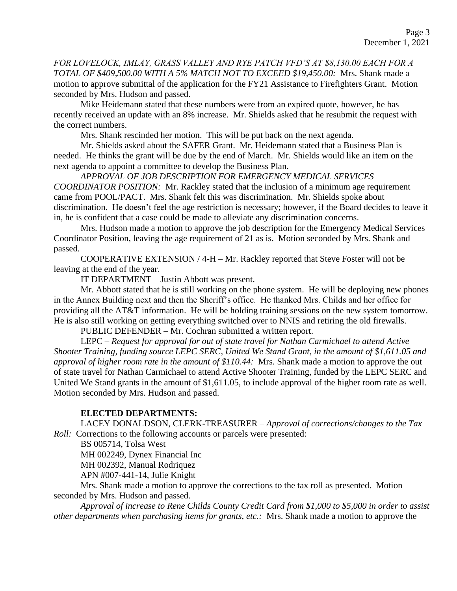*FOR LOVELOCK, IMLAY, GRASS VALLEY AND RYE PATCH VFD'S AT \$8,130.00 EACH FOR A TOTAL OF \$409,500.00 WITH A 5% MATCH NOT TO EXCEED \$19,450.00:* Mrs. Shank made a motion to approve submittal of the application for the FY21 Assistance to Firefighters Grant. Motion seconded by Mrs. Hudson and passed.

Mike Heidemann stated that these numbers were from an expired quote, however, he has recently received an update with an 8% increase. Mr. Shields asked that he resubmit the request with the correct numbers.

Mrs. Shank rescinded her motion. This will be put back on the next agenda.

Mr. Shields asked about the SAFER Grant. Mr. Heidemann stated that a Business Plan is needed. He thinks the grant will be due by the end of March. Mr. Shields would like an item on the next agenda to appoint a committee to develop the Business Plan.

*APPROVAL OF JOB DESCRIPTION FOR EMERGENCY MEDICAL SERVICES COORDINATOR POSITION:* Mr. Rackley stated that the inclusion of a minimum age requirement came from POOL/PACT. Mrs. Shank felt this was discrimination. Mr. Shields spoke about discrimination. He doesn't feel the age restriction is necessary; however, if the Board decides to leave it in, he is confident that a case could be made to alleviate any discrimination concerns.

Mrs. Hudson made a motion to approve the job description for the Emergency Medical Services Coordinator Position, leaving the age requirement of 21 as is. Motion seconded by Mrs. Shank and passed.

COOPERATIVE EXTENSION / 4-H – Mr. Rackley reported that Steve Foster will not be leaving at the end of the year.

IT DEPARTMENT – Justin Abbott was present.

Mr. Abbott stated that he is still working on the phone system. He will be deploying new phones in the Annex Building next and then the Sheriff's office. He thanked Mrs. Childs and her office for providing all the AT&T information. He will be holding training sessions on the new system tomorrow. He is also still working on getting everything switched over to NNIS and retiring the old firewalls.

PUBLIC DEFENDER – Mr. Cochran submitted a written report.

LEPC – *Request for approval for out of state travel for Nathan Carmichael to attend Active Shooter Training, funding source LEPC SERC, United We Stand Grant, in the amount of \$1,611.05 and approval of higher room rate in the amount of \$110.44:* Mrs. Shank made a motion to approve the out of state travel for Nathan Carmichael to attend Active Shooter Training, funded by the LEPC SERC and United We Stand grants in the amount of \$1,611.05, to include approval of the higher room rate as well. Motion seconded by Mrs. Hudson and passed.

### **ELECTED DEPARTMENTS:**

LACEY DONALDSON, CLERK-TREASURER – *Approval of corrections/changes to the Tax Roll:* Corrections to the following accounts or parcels were presented:

BS 005714, Tolsa West

MH 002249, Dynex Financial Inc

MH 002392, Manual Rodriquez

APN #007-441-14, Julie Knight

Mrs. Shank made a motion to approve the corrections to the tax roll as presented. Motion seconded by Mrs. Hudson and passed.

*Approval of increase to Rene Childs County Credit Card from \$1,000 to \$5,000 in order to assist other departments when purchasing items for grants, etc.:* Mrs. Shank made a motion to approve the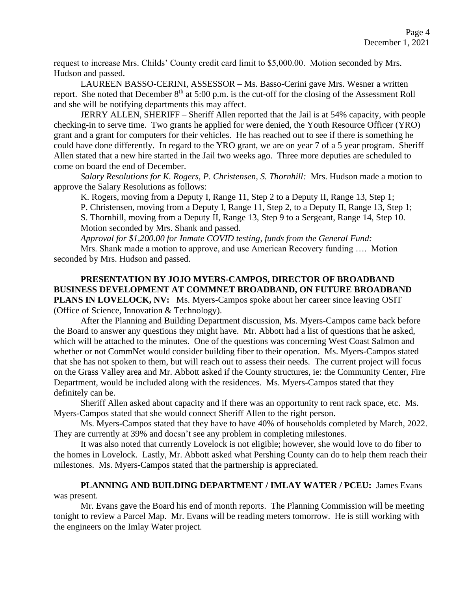request to increase Mrs. Childs' County credit card limit to \$5,000.00. Motion seconded by Mrs. Hudson and passed.

LAUREEN BASSO-CERINI, ASSESSOR – Ms. Basso-Cerini gave Mrs. Wesner a written report. She noted that December  $8<sup>th</sup>$  at 5:00 p.m. is the cut-off for the closing of the Assessment Roll and she will be notifying departments this may affect.

JERRY ALLEN, SHERIFF – Sheriff Allen reported that the Jail is at 54% capacity, with people checking-in to serve time. Two grants he applied for were denied, the Youth Resource Officer (YRO) grant and a grant for computers for their vehicles. He has reached out to see if there is something he could have done differently. In regard to the YRO grant, we are on year 7 of a 5 year program. Sheriff Allen stated that a new hire started in the Jail two weeks ago. Three more deputies are scheduled to come on board the end of December.

*Salary Resolutions for K. Rogers, P. Christensen, S. Thornhill:* Mrs. Hudson made a motion to approve the Salary Resolutions as follows:

K. Rogers, moving from a Deputy I, Range 11, Step 2 to a Deputy II, Range 13, Step 1;

P. Christensen, moving from a Deputy I, Range 11, Step 2, to a Deputy II, Range 13, Step 1; S. Thornhill, moving from a Deputy II, Range 13, Step 9 to a Sergeant, Range 14, Step 10. Motion seconded by Mrs. Shank and passed.

*Approval for \$1,200.00 for Inmate COVID testing, funds from the General Fund:* 

Mrs. Shank made a motion to approve, and use American Recovery funding …. Motion seconded by Mrs. Hudson and passed.

**PRESENTATION BY JOJO MYERS-CAMPOS, DIRECTOR OF BROADBAND BUSINESS DEVELOPMENT AT COMMNET BROADBAND, ON FUTURE BROADBAND PLANS IN LOVELOCK, NV:** Ms. Myers-Campos spoke about her career since leaving OSIT (Office of Science, Innovation & Technology).

After the Planning and Building Department discussion, Ms. Myers-Campos came back before the Board to answer any questions they might have. Mr. Abbott had a list of questions that he asked, which will be attached to the minutes. One of the questions was concerning West Coast Salmon and whether or not CommNet would consider building fiber to their operation. Ms. Myers-Campos stated that she has not spoken to them, but will reach out to assess their needs. The current project will focus on the Grass Valley area and Mr. Abbott asked if the County structures, ie: the Community Center, Fire Department, would be included along with the residences. Ms. Myers-Campos stated that they definitely can be.

Sheriff Allen asked about capacity and if there was an opportunity to rent rack space, etc. Ms. Myers-Campos stated that she would connect Sheriff Allen to the right person.

Ms. Myers-Campos stated that they have to have 40% of households completed by March, 2022. They are currently at 39% and doesn't see any problem in completing milestones.

It was also noted that currently Lovelock is not eligible; however, she would love to do fiber to the homes in Lovelock. Lastly, Mr. Abbott asked what Pershing County can do to help them reach their milestones. Ms. Myers-Campos stated that the partnership is appreciated.

## **PLANNING AND BUILDING DEPARTMENT / IMLAY WATER / PCEU:** James Evans was present.

Mr. Evans gave the Board his end of month reports. The Planning Commission will be meeting tonight to review a Parcel Map. Mr. Evans will be reading meters tomorrow. He is still working with the engineers on the Imlay Water project.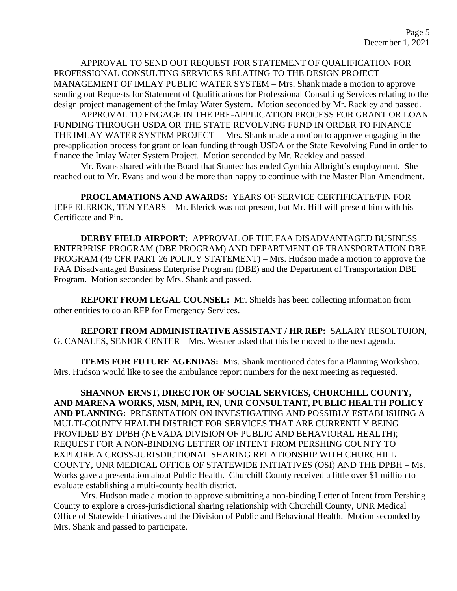APPROVAL TO SEND OUT REQUEST FOR STATEMENT OF QUALIFICATION FOR PROFESSIONAL CONSULTING SERVICES RELATING TO THE DESIGN PROJECT MANAGEMENT OF IMLAY PUBLIC WATER SYSTEM – Mrs. Shank made a motion to approve sending out Requests for Statement of Qualifications for Professional Consulting Services relating to the design project management of the Imlay Water System. Motion seconded by Mr. Rackley and passed.

APPROVAL TO ENGAGE IN THE PRE-APPLICATION PROCESS FOR GRANT OR LOAN FUNDING THROUGH USDA OR THE STATE REVOLVING FUND IN ORDER TO FINANCE THE IMLAY WATER SYSTEM PROJECT – Mrs. Shank made a motion to approve engaging in the pre-application process for grant or loan funding through USDA or the State Revolving Fund in order to finance the Imlay Water System Project. Motion seconded by Mr. Rackley and passed.

Mr. Evans shared with the Board that Stantec has ended Cynthia Albright's employment. She reached out to Mr. Evans and would be more than happy to continue with the Master Plan Amendment.

**PROCLAMATIONS AND AWARDS:** YEARS OF SERVICE CERTIFICATE/PIN FOR JEFF ELERICK, TEN YEARS – Mr. Elerick was not present, but Mr. Hill will present him with his Certificate and Pin.

**DERBY FIELD AIRPORT:** APPROVAL OF THE FAA DISADVANTAGED BUSINESS ENTERPRISE PROGRAM (DBE PROGRAM) AND DEPARTMENT OF TRANSPORTATION DBE PROGRAM (49 CFR PART 26 POLICY STATEMENT) – Mrs. Hudson made a motion to approve the FAA Disadvantaged Business Enterprise Program (DBE) and the Department of Transportation DBE Program. Motion seconded by Mrs. Shank and passed.

**REPORT FROM LEGAL COUNSEL:** Mr. Shields has been collecting information from other entities to do an RFP for Emergency Services.

**REPORT FROM ADMINISTRATIVE ASSISTANT / HR REP:** SALARY RESOLTUION, G. CANALES, SENIOR CENTER – Mrs. Wesner asked that this be moved to the next agenda.

**ITEMS FOR FUTURE AGENDAS:** Mrs. Shank mentioned dates for a Planning Workshop. Mrs. Hudson would like to see the ambulance report numbers for the next meeting as requested.

**SHANNON ERNST, DIRECTOR OF SOCIAL SERVICES, CHURCHILL COUNTY, AND MARENA WORKS, MSN, MPH, RN, UNR CONSULTANT, PUBLIC HEALTH POLICY AND PLANNING:** PRESENTATION ON INVESTIGATING AND POSSIBLY ESTABLISHING A MULTI-COUNTY HEALTH DISTRICT FOR SERVICES THAT ARE CURRENTLY BEING PROVIDED BY DPBH (NEVADA DIVISION OF PUBLIC AND BEHAVIORAL HEALTH); REQUEST FOR A NON-BINDING LETTER OF INTENT FROM PERSHING COUNTY TO EXPLORE A CROSS-JURISDICTIONAL SHARING RELATIONSHIP WITH CHURCHILL COUNTY, UNR MEDICAL OFFICE OF STATEWIDE INITIATIVES (OSI) AND THE DPBH – Ms. Works gave a presentation about Public Health. Churchill County received a little over \$1 million to evaluate establishing a multi-county health district.

Mrs. Hudson made a motion to approve submitting a non-binding Letter of Intent from Pershing County to explore a cross-jurisdictional sharing relationship with Churchill County, UNR Medical Office of Statewide Initiatives and the Division of Public and Behavioral Health. Motion seconded by Mrs. Shank and passed to participate.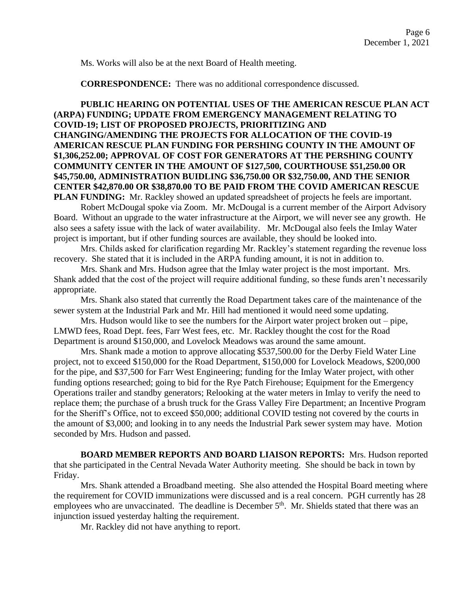Ms. Works will also be at the next Board of Health meeting.

**CORRESPONDENCE:** There was no additional correspondence discussed.

# **PUBLIC HEARING ON POTENTIAL USES OF THE AMERICAN RESCUE PLAN ACT (ARPA) FUNDING; UPDATE FROM EMERGENCY MANAGEMENT RELATING TO COVID-19; LIST OF PROPOSED PROJECTS, PRIORITIZING AND CHANGING/AMENDING THE PROJECTS FOR ALLOCATION OF THE COVID-19 AMERICAN RESCUE PLAN FUNDING FOR PERSHING COUNTY IN THE AMOUNT OF \$1,306,252.00; APPROVAL OF COST FOR GENERATORS AT THE PERSHING COUNTY COMMUNITY CENTER IN THE AMOUNT OF \$127,500, COURTHOUSE \$51,250.00 OR \$45,750.00, ADMINISTRATION BUIDLING \$36,750.00 OR \$32,750.00, AND THE SENIOR CENTER \$42,870.00 OR \$38,870.00 TO BE PAID FROM THE COVID AMERICAN RESCUE PLAN FUNDING:** Mr. Rackley showed an updated spreadsheet of projects he feels are important.

Robert McDougal spoke via Zoom. Mr. McDougal is a current member of the Airport Advisory Board. Without an upgrade to the water infrastructure at the Airport, we will never see any growth. He also sees a safety issue with the lack of water availability. Mr. McDougal also feels the Imlay Water project is important, but if other funding sources are available, they should be looked into.

Mrs. Childs asked for clarification regarding Mr. Rackley's statement regarding the revenue loss recovery. She stated that it is included in the ARPA funding amount, it is not in addition to.

Mrs. Shank and Mrs. Hudson agree that the Imlay water project is the most important. Mrs. Shank added that the cost of the project will require additional funding, so these funds aren't necessarily appropriate.

Mrs. Shank also stated that currently the Road Department takes care of the maintenance of the sewer system at the Industrial Park and Mr. Hill had mentioned it would need some updating.

Mrs. Hudson would like to see the numbers for the Airport water project broken out – pipe, LMWD fees, Road Dept. fees, Farr West fees, etc. Mr. Rackley thought the cost for the Road Department is around \$150,000, and Lovelock Meadows was around the same amount.

Mrs. Shank made a motion to approve allocating \$537,500.00 for the Derby Field Water Line project, not to exceed \$150,000 for the Road Department, \$150,000 for Lovelock Meadows, \$200,000 for the pipe, and \$37,500 for Farr West Engineering; funding for the Imlay Water project, with other funding options researched; going to bid for the Rye Patch Firehouse; Equipment for the Emergency Operations trailer and standby generators; Relooking at the water meters in Imlay to verify the need to replace them; the purchase of a brush truck for the Grass Valley Fire Department; an Incentive Program for the Sheriff's Office, not to exceed \$50,000; additional COVID testing not covered by the courts in the amount of \$3,000; and looking in to any needs the Industrial Park sewer system may have. Motion seconded by Mrs. Hudson and passed.

**BOARD MEMBER REPORTS AND BOARD LIAISON REPORTS:** Mrs. Hudson reported that she participated in the Central Nevada Water Authority meeting. She should be back in town by Friday.

Mrs. Shank attended a Broadband meeting. She also attended the Hospital Board meeting where the requirement for COVID immunizations were discussed and is a real concern. PGH currently has 28 employees who are unvaccinated. The deadline is December 5<sup>th</sup>. Mr. Shields stated that there was an injunction issued yesterday halting the requirement.

Mr. Rackley did not have anything to report.